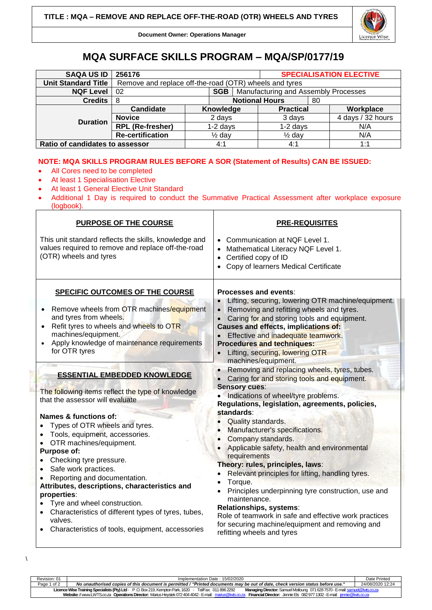

**Document Owner: Operations Manager**

## **MQA SURFACE SKILLS PROGRAM – MQA/SP/0177/19**

| <b>SAQA US ID</b>               | 256176                                                 |                       |     |  | <b>SPECIALISATION ELECTIVE</b>       |    |                   |
|---------------------------------|--------------------------------------------------------|-----------------------|-----|--|--------------------------------------|----|-------------------|
| <b>Unit Standard Title</b>      | Remove and replace off-the-road (OTR) wheels and tyres |                       |     |  |                                      |    |                   |
| <b>NQF Level</b>                | <b>SGB</b><br>02                                       |                       |     |  | Manufacturing and Assembly Processes |    |                   |
| <b>Credits</b>                  | -8                                                     | <b>Notional Hours</b> |     |  |                                      | 80 |                   |
| <b>Duration</b>                 | Candidate                                              | Knowledge             |     |  | <b>Practical</b>                     |    | Workplace         |
|                                 | <b>Novice</b>                                          | 2 days                |     |  | 3 days                               |    | 4 days / 32 hours |
|                                 | <b>RPL (Re-fresher)</b>                                | $1-2$ days            |     |  | $1-2$ days                           |    | N/A               |
|                                 | <b>Re-certification</b>                                | $\frac{1}{2}$ day     |     |  | $\frac{1}{2}$ dav                    |    | N/A               |
| Ratio of candidates to assessor |                                                        |                       | 4:1 |  | 4:1                                  |    | 1:1               |

## **NOTE: MQA SKILLS PROGRAM RULES BEFORE A SOR (Statement of Results) CAN BE ISSUED:**

- All Cores need to be completed
- At least 1 Specialisation Elective

 $\backslash$ 

- At least 1 General Elective Unit Standard
- Additional 1 Day is required to conduct the Summative Practical Assessment after workplace exposure (logbook).

| <b>PURPOSE OF THE COURSE</b>                                                                                                                                                                                                                                                                                                                                                                                                                                                                                                                                                | <b>PRE-REQUISITES</b>                                                                                                                                                                                                                                                                                                                                                                                                                                                                                                                                                                                                                                                                                                  |  |  |  |  |  |
|-----------------------------------------------------------------------------------------------------------------------------------------------------------------------------------------------------------------------------------------------------------------------------------------------------------------------------------------------------------------------------------------------------------------------------------------------------------------------------------------------------------------------------------------------------------------------------|------------------------------------------------------------------------------------------------------------------------------------------------------------------------------------------------------------------------------------------------------------------------------------------------------------------------------------------------------------------------------------------------------------------------------------------------------------------------------------------------------------------------------------------------------------------------------------------------------------------------------------------------------------------------------------------------------------------------|--|--|--|--|--|
| This unit standard reflects the skills, knowledge and<br>values required to remove and replace off-the-road<br>(OTR) wheels and tyres                                                                                                                                                                                                                                                                                                                                                                                                                                       | • Communication at NQF Level 1.<br>• Mathematical Literacy NQF Level 1.<br>Certified copy of ID<br>• Copy of learners Medical Certificate                                                                                                                                                                                                                                                                                                                                                                                                                                                                                                                                                                              |  |  |  |  |  |
| <b>SPECIFIC OUTCOMES OF THE COURSE</b><br>Remove wheels from OTR machines/equipment<br>and tyres from wheels.<br>Refit tyres to wheels and wheels to OTR<br>machines/equipment.<br>Apply knowledge of maintenance requirements<br>for OTR tyres                                                                                                                                                                                                                                                                                                                             | Processes and events:<br>Lifting, securing, lowering OTR machine/equipment.<br>Removing and refitting wheels and tyres.<br>Caring for and storing tools and equipment.<br>$\bullet$<br><b>Causes and effects, implications of:</b><br>Effective and inadequate teamwork.<br><b>Procedures and techniques:</b><br>Lifting, securing, lowering OTR<br>machines/equipment.                                                                                                                                                                                                                                                                                                                                                |  |  |  |  |  |
| <b>ESSENTIAL EMBEDDED KNOWLEDGE</b><br>The following items reflect the type of knowledge<br>that the assessor will evaluate<br>Names & functions of:<br>Types of OTR wheels and tyres.<br>Tools, equipment, accessories.<br>OTR machines/equipment.<br>Purpose of:<br>Checking tyre pressure.<br>Safe work practices.<br>Reporting and documentation.<br>Attributes, descriptions, characteristics and<br>properties:<br>Tyre and wheel construction.<br>Characteristics of different types of tyres, tubes,<br>valves.<br>Characteristics of tools, equipment, accessories | Removing and replacing wheels, tyres, tubes.<br>Caring for and storing tools and equipment.<br><b>Sensory cues:</b><br>Indications of wheel/tyre problems.<br>Regulations, legislation, agreements, policies,<br>standards:<br>Quality standards.<br>Manufacturer's specifications.<br>Company standards.<br>Applicable safety, health and environmental<br>requirements<br>Theory: rules, principles, laws:<br>Relevant principles for lifting, handling tyres.<br>Torque.<br>Principles underpinning tyre construction, use and<br>maintenance.<br>Relationships, systems:<br>Role of teamwork in safe and effective work practices<br>for securing machine/equipment and removing and<br>refitting wheels and tyres |  |  |  |  |  |

Revision: 01 Implementation Date : 15/02/2020 Date Printed Page 1 of 2 *No unauthorised copies of this document is permitted / "Printed documents may be out of date, check version status before use."* 24/08/2020 12:24 **Licence Wise Training Specialists (Pty) Ltd**- P .O. Box 219, Kempton Park, 1620 - Tel/Fax: 011 896 2292 **Managing Director:** Samuel Motloung 071628 7570 -E-mai[l: samuel@lwts.co.za](mailto:samuel@lwts.co.za)  **Website:**// www.LWTS.co.za **Operations Director:** Marius Heystek 072404 4042 -E-mail: [marius@lwts.co.za](mailto:marius@lwts.co.za) **Financial Director:** Jennie Els 082977 1302 -E-mail: [jennie@lwts.co.za](mailto:jennie@lwts.co.za)